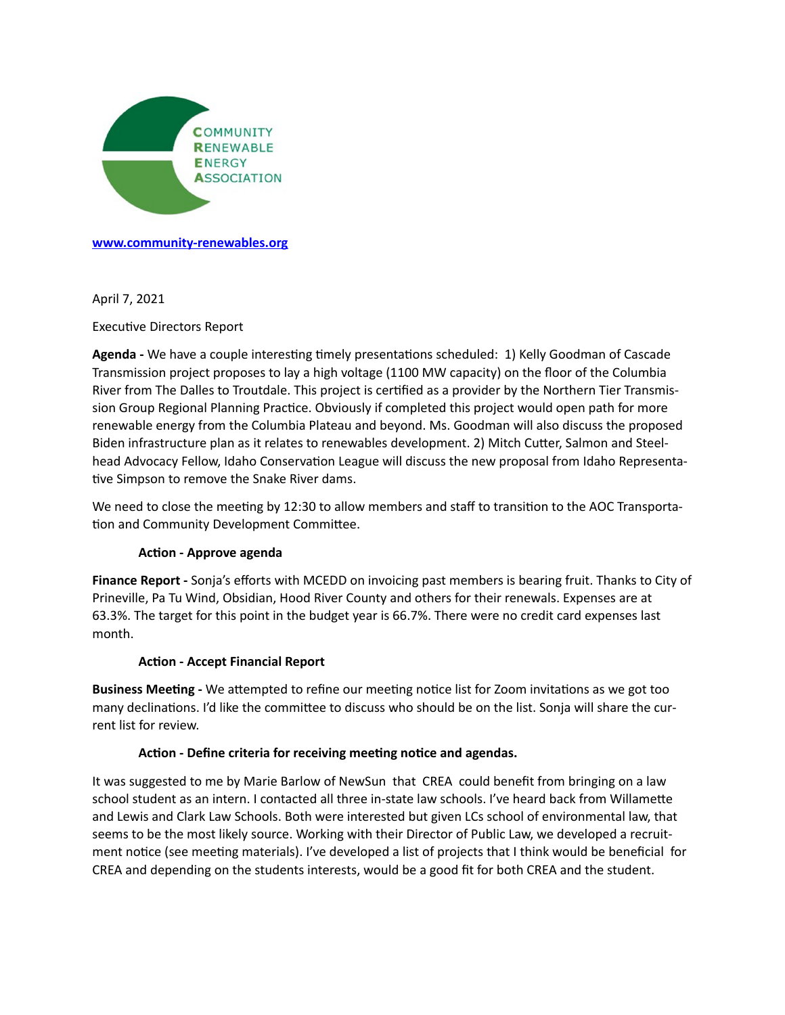

**[www.community-renewables.org](http://www.community-renewables.org)**

April 7, 2021

Executive Directors Report

**Agenda -** We have a couple interesting timely presentations scheduled: 1) Kelly Goodman of Cascade Transmission project proposes to lay a high voltage (1100 MW capacity) on the floor of the Columbia River from The Dalles to Troutdale. This project is certified as a provider by the Northern Tier Transmission Group Regional Planning Practice. Obviously if completed this project would open path for more renewable energy from the Columbia Plateau and beyond. Ms. Goodman will also discuss the proposed Biden infrastructure plan as it relates to renewables development. 2) Mitch Cutter, Salmon and Steelhead Advocacy Fellow, Idaho Conservation League will discuss the new proposal from Idaho Representative Simpson to remove the Snake River dams.

We need to close the meeting by 12:30 to allow members and staff to transition to the AOC Transportation and Community Development Committee.

# **Action - Approve agenda**

**Finance Report -** Sonja's efforts with MCEDD on invoicing past members is bearing fruit. Thanks to City of Prineville, Pa Tu Wind, Obsidian, Hood River County and others for their renewals. Expenses are at 63.3%. The target for this point in the budget year is 66.7%. There were no credit card expenses last month.

#### **Action - Accept Financial Report**

**Business Meeting -** We attempted to refine our meeting notice list for Zoom invitations as we got too many declinations. I'd like the committee to discuss who should be on the list. Sonja will share the current list for review.

#### Action - Define criteria for receiving meeting notice and agendas.

It was suggested to me by Marie Barlow of NewSun that CREA could benefit from bringing on a law school student as an intern. I contacted all three in-state law schools. I've heard back from Willamette and Lewis and Clark Law Schools. Both were interested but given LCs school of environmental law, that seems to be the most likely source. Working with their Director of Public Law, we developed a recruitment notice (see meeting materials). I've developed a list of projects that I think would be beneficial for CREA and depending on the students interests, would be a good fit for both CREA and the student.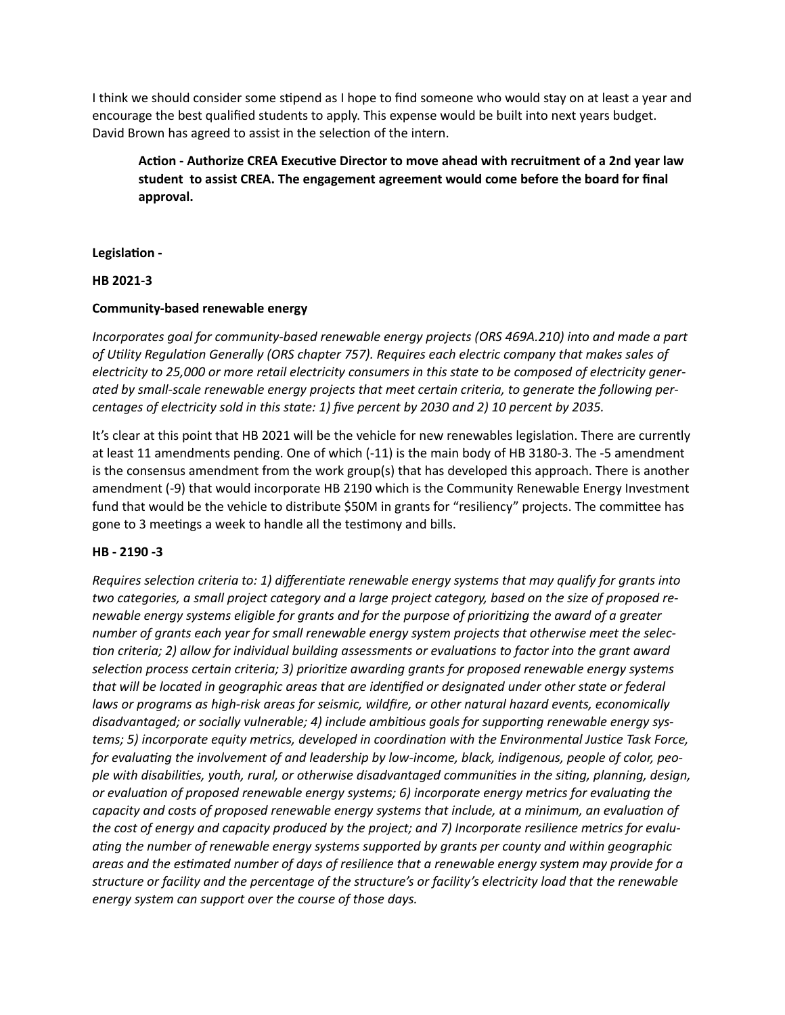I think we should consider some stipend as I hope to find someone who would stay on at least a year and encourage the best qualified students to apply. This expense would be built into next years budget. David Brown has agreed to assist in the selection of the intern.

Action - Authorize CREA Executive Director to move ahead with recruitment of a 2nd year law  **student to assist CREA. The engagement agreement would come before the board for final approval.**

#### **Legislation -**

## **HB 2021-3**

## **Community-based renewable energy**

*Incorporates goal for community-based renewable energy projects (ORS 469A.210) into and made a part of UFlity RegulaFon Generally (ORS chapter 757). Requires each electric company that makes sales of electricity to 25,000 or more retail electricity consumers in this state to be composed of electricity generated by small-scale renewable energy projects that meet certain criteria, to generate the following percentages of electricity sold in this state: 1) five percent by 2030 and 2) 10 percent by 2035.* 

It's clear at this point that HB 2021 will be the vehicle for new renewables legislation. There are currently at least 11 amendments pending. One of which (-11) is the main body of HB 3180-3. The -5 amendment is the consensus amendment from the work group(s) that has developed this approach. There is another amendment (-9) that would incorporate HB 2190 which is the Community Renewable Energy Investment fund that would be the vehicle to distribute \$50M in grants for "resiliency" projects. The committee has gone to 3 meetings a week to handle all the testimony and bills.

# **HB - 2190 -3**

*Requires selection criteria to: 1) differentiate renewable energy systems that may qualify for grants into two categories, a small project category and a large project category, based on the size of proposed renewable energy systems eligible for grants and for the purpose of prioritizing the award of a greater number of grants each year for small renewable energy system projects that otherwise meet the selec-Fon criteria; 2) allow for individual building assessments or evaluations to factor into the grant award* selection process certain criteria; 3) prioritize awarding grants for proposed renewable energy systems *that will be located in geographic areas that are identified or designated under other state or federal laws or programs as high-risk areas for seismic, wildfire, or other natural hazard events, economically*  disadvantaged; or socially vulnerable; 4) include ambitious goals for supporting renewable energy sys*tems; 5) incorporate equity metrics, developed in coordination with the Environmental Justice Task Force,* for evaluating the involvement of and leadership by low-income, black, indigenous, people of color, people with disabilities, youth, rural, or otherwise disadvantaged communities in the siting, planning, design, *or evaluation of proposed renewable energy systems; 6) incorporate energy metrics for evaluating the capacity and costs of proposed renewable energy systems that include, at a minimum, an evaluation of the cost of energy and capacity produced by the project; and 7) Incorporate resilience metrics for evaluaFng the number of renewable energy systems supported by grants per county and within geographic*  areas and the estimated number of days of resilience that a renewable energy system may provide for a *structure or facility and the percentage of the structure's or facility's electricity load that the renewable energy system can support over the course of those days.*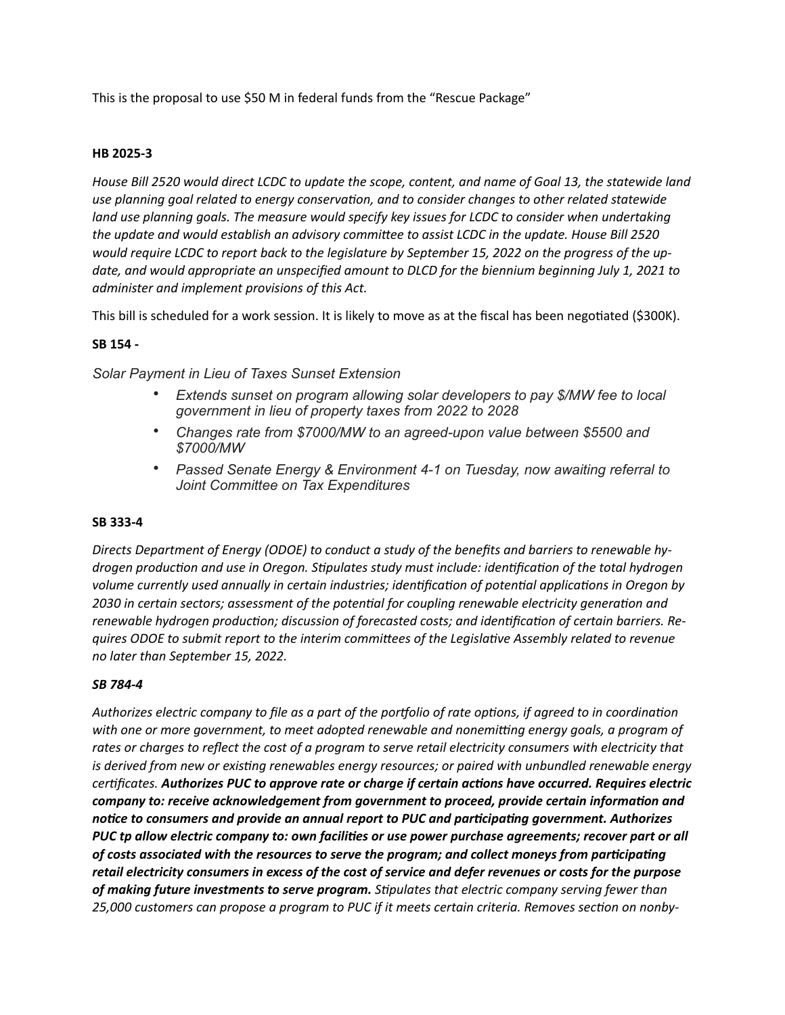This is the proposal to use \$50 M in federal funds from the "Rescue Package"

## **HB 2025-3**

*House Bill 2520 would direct LCDC to update the scope, content, and name of Goal 13, the statewide land use planning goal related to energy conservation, and to consider changes to other related statewide* land use planning goals. The measure would specify key issues for LCDC to consider when undertaking the update and would establish an advisory committee to assist LCDC in the update. House Bill 2520 *would require LCDC to report back to the legislature by September 15, 2022 on the progress of the update, and would appropriate an unspecified amount to DLCD for the biennium beginning July 1, 2021 to administer and implement provisions of this Act.* 

This bill is scheduled for a work session. It is likely to move as at the fiscal has been negotiated (\$300K).

## **SB 154 -**

*Solar Payment in Lieu of Taxes Sunset Extension* 

- *Extends sunset on program allowing solar developers to pay \$/MW fee to local government in lieu of property taxes from 2022 to 2028*
- *Changes rate from \$7000/MW to an agreed-upon value between \$5500 and \$7000/MW*
- *Passed Senate Energy & Environment 4-1 on Tuesday, now awaiting referral to Joint Committee on Tax Expenditures*

#### **SB 333-4**

*Directs Department of Energy (ODOE) to conduct a study of the benefits and barriers to renewable hydrogen production and use in Oregon. Stipulates study must include: identification of the total hydrogen* volume currently used annually in certain industries; identification of potential applications in Oregon by *2030 in certain sectors; assessment of the potential for coupling renewable electricity generation and* renewable hydrogen production; discussion of forecasted costs; and identification of certain barriers. Re*quires ODOE to submit report to the interim committees of the Legislative Assembly related to revenue no later than September 15, 2022.* 

#### *SB 784-4*

Authorizes electric company to file as a part of the portfolio of rate options, if agreed to in coordination with one or more government, to meet adopted renewable and nonemitting energy goals, a program of rates or charges to reflect the cost of a program to serve retail electricity consumers with electricity that is derived from new or existing renewables energy resources; or paired with unbundled renewable energy *certificates. Authorizes PUC to approve rate or charge if certain actions have occurred. Requires electric company to: receive acknowledgement from government to proceed, provide certain information and* notice to consumers and provide an annual report to PUC and participating government. Authorizes *PUC tp allow electric company to: own facilities or use power purchase agreements; recover part or all* of costs associated with the resources to serve the program; and collect moneys from participating *retail electricity consumers in excess of the cost of service and defer revenues or costs for the purpose of making future investments to serve program. SFpulates that electric company serving fewer than*  25,000 customers can propose a program to PUC if it meets certain criteria. Removes section on nonby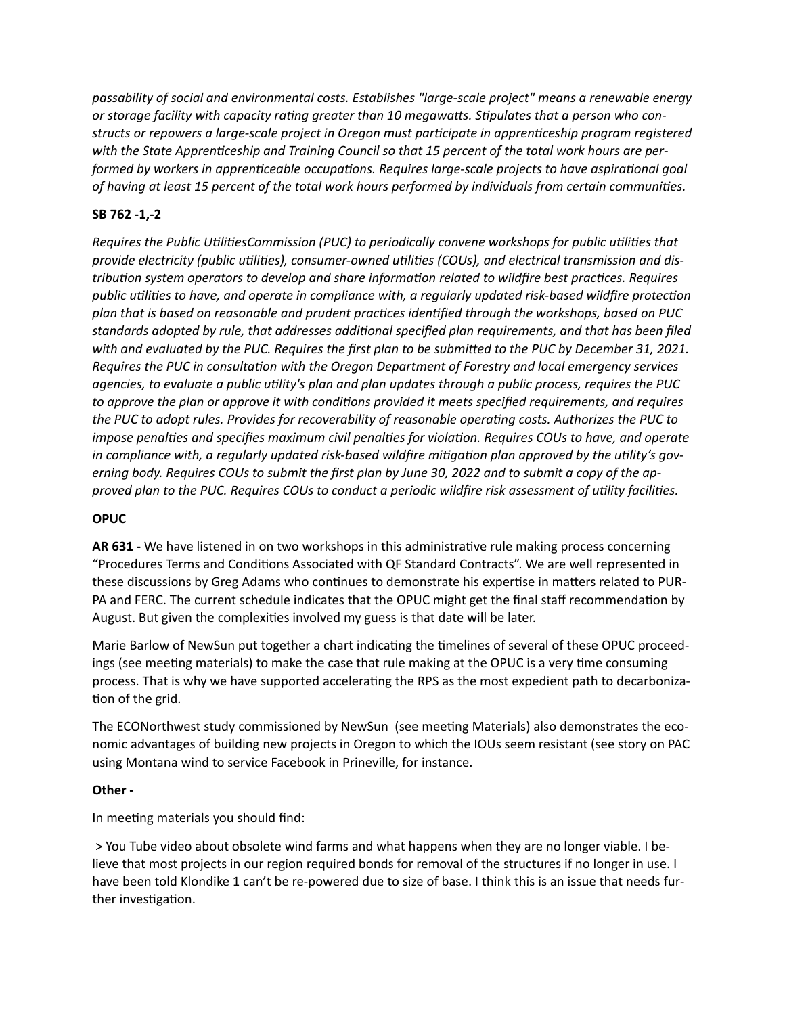*passability of social and environmental costs. Establishes "large-scale project" means a renewable energy*  or storage facility with capacity rating greater than 10 megawatts. Stipulates that a person who constructs or repowers a large-scale project in Oregon must participate in apprenticeship program registered with the State Apprenticeship and Training Council so that 15 percent of the total work hours are per*formed by workers in apprenticeable occupations. Requires large-scale projects to have aspirational goal* of having at least 15 percent of the total work hours performed by individuals from certain communities.

# **SB 762 -1,-2**

*Requires the Public UtilitiesCommission (PUC) to periodically convene workshops for public utilities that* provide electricity (public utilities), consumer-owned utilities (COUs), and electrical transmission and dis*tribution system operators to develop and share information related to wildfire best practices. Requires* public utilities to have, and operate in compliance with, a regularly updated risk-based wildfire protection *plan that is based on reasonable and prudent pracFces idenFfied through the workshops, based on PUC standards adopted by rule, that addresses addiFonal specified plan requirements, and that has been filed*  with and evaluated by the PUC. Requires the first plan to be submitted to the PUC by December 31, 2021. *Requires the PUC in consultaFon with the Oregon Department of Forestry and local emergency services*  agencies, to evaluate a public utility's plan and plan updates through a public process, requires the PUC to approve the plan or approve it with conditions provided it meets specified requirements, and requires *the PUC to adopt rules. Provides for recoverability of reasonable operating costs. Authorizes the PUC to impose penalties and specifies maximum civil penalties for violation. Requires COUs to have, and operate* in compliance with, a regularly updated risk-based wildfire mitigation plan approved by the utility's gov*erning body. Requires COUs to submit the first plan by June 30, 2022 and to submit a copy of the approved plan to the PUC. Requires COUs to conduct a periodic wildfire risk assessment of utility facilities.* 

# **OPUC**

**AR 631 - We have listened in on two workshops in this administrative rule making process concerning** "Procedures Terms and Conditions Associated with QF Standard Contracts". We are well represented in these discussions by Greg Adams who continues to demonstrate his expertise in matters related to PUR-PA and FERC. The current schedule indicates that the OPUC might get the final staff recommendation by August. But given the complexities involved my guess is that date will be later.

Marie Barlow of NewSun put together a chart indicating the timelines of several of these OPUC proceedings (see meeting materials) to make the case that rule making at the OPUC is a very time consuming process. That is why we have supported accelerating the RPS as the most expedient path to decarbonization of the grid.

The ECONorthwest study commissioned by NewSun (see meeting Materials) also demonstrates the economic advantages of building new projects in Oregon to which the IOUs seem resistant (see story on PAC using Montana wind to service Facebook in Prineville, for instance.

# **Other -**

In meeting materials you should find:

 > You Tube video about obsolete wind farms and what happens when they are no longer viable. I believe that most projects in our region required bonds for removal of the structures if no longer in use. I have been told Klondike 1 can't be re-powered due to size of base. I think this is an issue that needs further investigation.